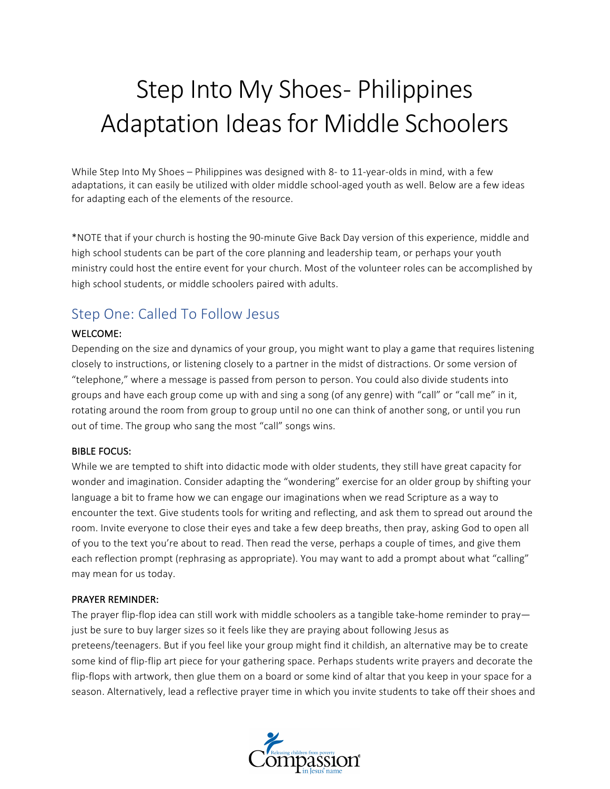# Step Into My Shoes- Philippines Adaptation Ideas for Middle Schoolers

While Step Into My Shoes – Philippines was designed with 8- to 11-year-olds in mind, with a few adaptations, it can easily be utilized with older middle school-aged youth as well. Below are a few ideas for adapting each of the elements of the resource.

\*NOTE that if your church is hosting the 90-minute Give Back Day version of this experience, middle and high school students can be part of the core planning and leadership team, or perhaps your youth ministry could host the entire event for your church. Most of the volunteer roles can be accomplished by high school students, or middle schoolers paired with adults.

# Step One: Called To Follow Jesus

# WELCOME:

Depending on the size and dynamics of your group, you might want to play a game that requires listening closely to instructions, or listening closely to a partner in the midst of distractions. Or some version of "telephone," where a message is passed from person to person. You could also divide students into groups and have each group come up with and sing a song (of any genre) with "call" or "call me" in it, rotating around the room from group to group until no one can think of another song, or until you run out of time. The group who sang the most "call" songs wins.

## **BIBLE FOCUS:**

While we are tempted to shift into didactic mode with older students, they still have great capacity for wonder and imagination. Consider adapting the "wondering" exercise for an older group by shifting your language a bit to frame how we can engage our imaginations when we read Scripture as a way to encounter the text. Give students tools for writing and reflecting, and ask them to spread out around the room. Invite everyone to close their eyes and take a few deep breaths, then pray, asking God to open all of you to the text you're about to read. Then read the verse, perhaps a couple of times, and give them each reflection prompt (rephrasing as appropriate). You may want to add a prompt about what "calling" may mean for us today.

#### PRAYER REMINDER:

The prayer flip-flop idea can still work with middle schoolers as a tangible take-home reminder to pray just be sure to buy larger sizes so it feels like they are praying about following Jesus as preteens/teenagers. But if you feel like your group might find it childish, an alternative may be to create some kind of flip-flip art piece for your gathering space. Perhaps students write prayers and decorate the flip-flops with artwork, then glue them on a board or some kind of altar that you keep in your space for a season. Alternatively, lead a reflective prayer time in which you invite students to take off their shoes and

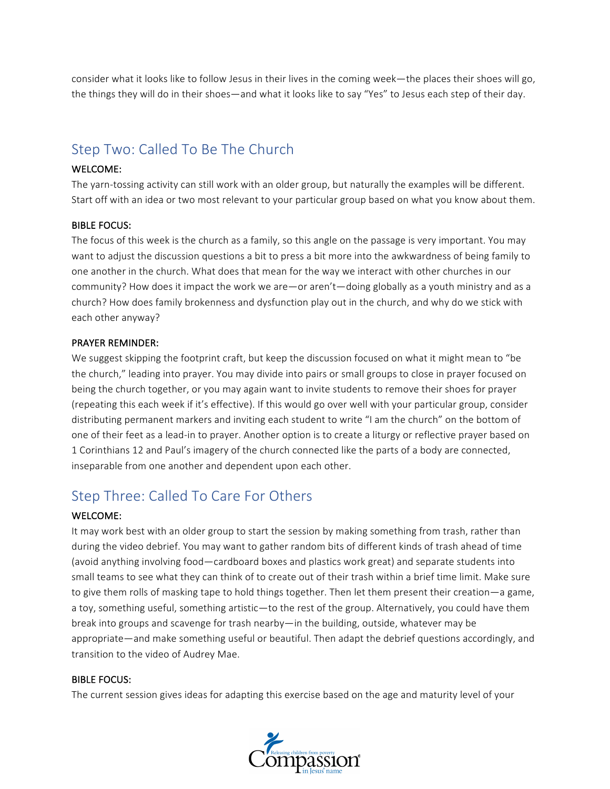consider what it looks like to follow Jesus in their lives in the coming week—the places their shoes will go, the things they will do in their shoes—and what it looks like to say "Yes" to Jesus each step of their day.

# Step Two: Called To Be The Church

## WELCOME:

The yarn-tossing activity can still work with an older group, but naturally the examples will be different. Start off with an idea or two most relevant to your particular group based on what you know about them.

# **BIBLE FOCUS:**

The focus of this week is the church as a family, so this angle on the passage is very important. You may want to adjust the discussion questions a bit to press a bit more into the awkwardness of being family to one another in the church. What does that mean for the way we interact with other churches in our community? How does it impact the work we are—or aren't—doing globally as a youth ministry and as a church? How does family brokenness and dysfunction play out in the church, and why do we stick with each other anyway?

# PRAYER REMINDER:

We suggest skipping the footprint craft, but keep the discussion focused on what it might mean to "be the church," leading into prayer. You may divide into pairs or small groups to close in prayer focused on being the church together, or you may again want to invite students to remove their shoes for prayer (repeating this each week if it's effective). If this would go over well with your particular group, consider distributing permanent markers and inviting each student to write "I am the church" on the bottom of one of their feet as a lead-in to prayer. Another option is to create a liturgy or reflective prayer based on 1 Corinthians 12 and Paul's imagery of the church connected like the parts of a body are connected, inseparable from one another and dependent upon each other.

# Step Three: Called To Care For Others

# WELCOME:

It may work best with an older group to start the session by making something from trash, rather than during the video debrief. You may want to gather random bits of different kinds of trash ahead of time (avoid anything involving food—cardboard boxes and plastics work great) and separate students into small teams to see what they can think of to create out of their trash within a brief time limit. Make sure to give them rolls of masking tape to hold things together. Then let them present their creation—a game, a toy, something useful, something artistic—to the rest of the group. Alternatively, you could have them break into groups and scavenge for trash nearby—in the building, outside, whatever may be appropriate—and make something useful or beautiful. Then adapt the debrief questions accordingly, and transition to the video of Audrey Mae.

## **BIBLE FOCUS:**

The current session gives ideas for adapting this exercise based on the age and maturity level of your

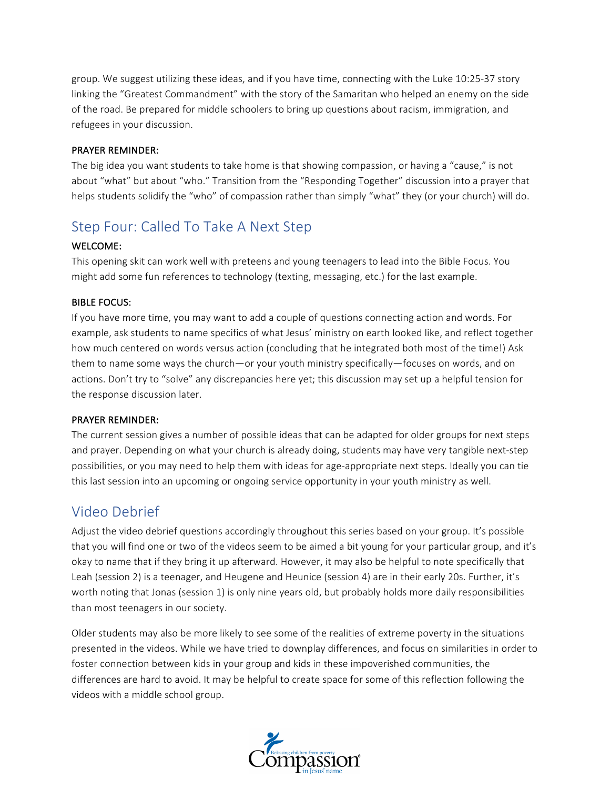group. We suggest utilizing these ideas, and if you have time, connecting with the Luke 10:25-37 story linking the "Greatest Commandment" with the story of the Samaritan who helped an enemy on the side of the road. Be prepared for middle schoolers to bring up questions about racism, immigration, and refugees in your discussion.

# PRAYER REMINDER:

The big idea you want students to take home is that showing compassion, or having a "cause," is not about "what" but about "who." Transition from the "Responding Together" discussion into a prayer that helps students solidify the "who" of compassion rather than simply "what" they (or your church) will do.

# Step Four: Called To Take A Next Step

# WELCOME:

This opening skit can work well with preteens and young teenagers to lead into the Bible Focus. You might add some fun references to technology (texting, messaging, etc.) for the last example.

# **BIBLE FOCUS:**

If you have more time, you may want to add a couple of questions connecting action and words. For example, ask students to name specifics of what Jesus' ministry on earth looked like, and reflect together how much centered on words versus action (concluding that he integrated both most of the time!) Ask them to name some ways the church—or your youth ministry specifically—focuses on words, and on actions. Don't try to "solve" any discrepancies here yet; this discussion may set up a helpful tension for the response discussion later.

## PRAYER REMINDER:

The current session gives a number of possible ideas that can be adapted for older groups for next steps and prayer. Depending on what your church is already doing, students may have very tangible next-step possibilities, or you may need to help them with ideas for age-appropriate next steps. Ideally you can tie this last session into an upcoming or ongoing service opportunity in your youth ministry as well.

# Video Debrief

Adjust the video debrief questions accordingly throughout this series based on your group. It's possible that you will find one or two of the videos seem to be aimed a bit young for your particular group, and it's okay to name that if they bring it up afterward. However, it may also be helpful to note specifically that Leah (session 2) is a teenager, and Heugene and Heunice (session 4) are in their early 20s. Further, it's worth noting that Jonas (session 1) is only nine years old, but probably holds more daily responsibilities than most teenagers in our society.

Older students may also be more likely to see some of the realities of extreme poverty in the situations presented in the videos. While we have tried to downplay differences, and focus on similarities in order to foster connection between kids in your group and kids in these impoverished communities, the differences are hard to avoid. It may be helpful to create space for some of this reflection following the videos with a middle school group.